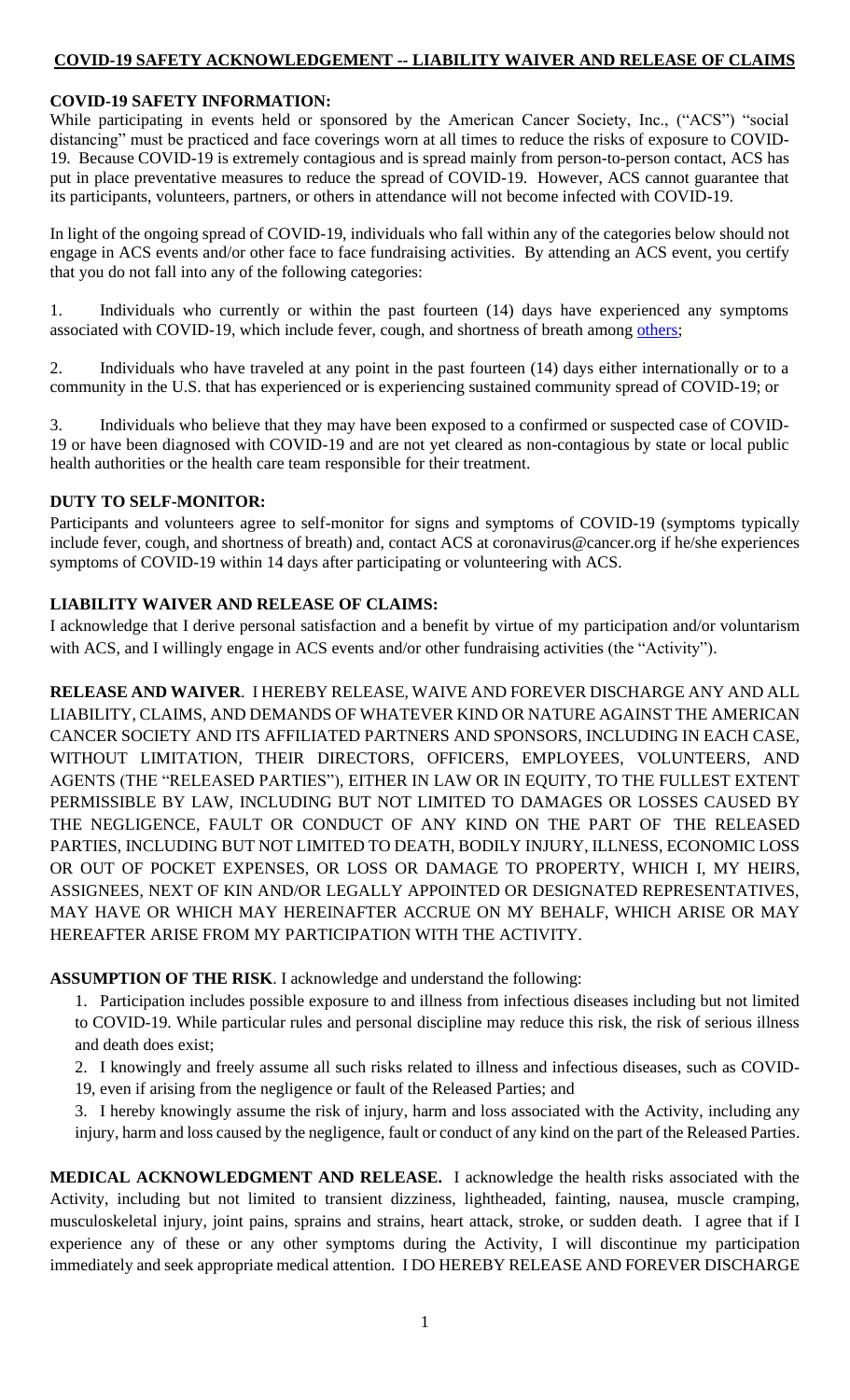# **COVID-19 SAFETY ACKNOWLEDGEMENT -- LIABILITY WAIVER AND RELEASE OF CLAIMS**

# **COVID-19 SAFETY INFORMATION:**

While participating in events held or sponsored by the American Cancer Society, Inc., ("ACS") "social distancing" must be practiced and face coverings worn at all times to reduce the risks of exposure to COVID-19. Because COVID-19 is extremely contagious and is spread mainly from person-to-person contact, ACS has put in place preventative measures to reduce the spread of COVID-19. However, ACS cannot guarantee that its participants, volunteers, partners, or others in attendance will not become infected with COVID-19.

In light of the ongoing spread of COVID-19, individuals who fall within any of the categories below should not engage in ACS events and/or other face to face fundraising activities. By attending an ACS event, you certify that you do not fall into any of the following categories:

1. Individuals who currently or within the past fourteen (14) days have experienced any symptoms associated with COVID-19, which include fever, cough, and shortness of breath among [others;](https://www.cdc.gov/coronavirus/2019-ncov/symptoms-testing/symptoms.html)

2. Individuals who have traveled at any point in the past fourteen (14) days either internationally or to a community in the U.S. that has experienced or is experiencing sustained community spread of COVID-19; or

3. Individuals who believe that they may have been exposed to a confirmed or suspected case of COVID-19 or have been diagnosed with COVID-19 and are not yet cleared as non-contagious by state or local public health authorities or the health care team responsible for their treatment.

# **DUTY TO SELF-MONITOR:**

Participants and volunteers agree to self-monitor for signs and symptoms of COVID-19 (symptoms typically include fever, cough, and shortness of breath) and, contact ACS at coronavirus@cancer.org if he/she experiences symptoms of COVID-19 within 14 days after participating or volunteering with ACS.

# **LIABILITY WAIVER AND RELEASE OF CLAIMS:**

I acknowledge that I derive personal satisfaction and a benefit by virtue of my participation and/or voluntarism with ACS, and I willingly engage in ACS events and/or other fundraising activities (the "Activity").

**RELEASE AND WAIVER**. I HEREBY RELEASE, WAIVE AND FOREVER DISCHARGE ANY AND ALL LIABILITY, CLAIMS, AND DEMANDS OF WHATEVER KIND OR NATURE AGAINST THE AMERICAN CANCER SOCIETY AND ITS AFFILIATED PARTNERS AND SPONSORS, INCLUDING IN EACH CASE, WITHOUT LIMITATION, THEIR DIRECTORS, OFFICERS, EMPLOYEES, VOLUNTEERS, AND AGENTS (THE "RELEASED PARTIES"), EITHER IN LAW OR IN EQUITY, TO THE FULLEST EXTENT PERMISSIBLE BY LAW, INCLUDING BUT NOT LIMITED TO DAMAGES OR LOSSES CAUSED BY THE NEGLIGENCE, FAULT OR CONDUCT OF ANY KIND ON THE PART OF THE RELEASED PARTIES, INCLUDING BUT NOT LIMITED TO DEATH, BODILY INJURY, ILLNESS, ECONOMIC LOSS OR OUT OF POCKET EXPENSES, OR LOSS OR DAMAGE TO PROPERTY, WHICH I, MY HEIRS, ASSIGNEES, NEXT OF KIN AND/OR LEGALLY APPOINTED OR DESIGNATED REPRESENTATIVES, MAY HAVE OR WHICH MAY HEREINAFTER ACCRUE ON MY BEHALF, WHICH ARISE OR MAY HEREAFTER ARISE FROM MY PARTICIPATION WITH THE ACTIVITY.

#### **ASSUMPTION OF THE RISK**. I acknowledge and understand the following:

1. Participation includes possible exposure to and illness from infectious diseases including but not limited to COVID-19. While particular rules and personal discipline may reduce this risk, the risk of serious illness and death does exist;

2. I knowingly and freely assume all such risks related to illness and infectious diseases, such as COVID-19, even if arising from the negligence or fault of the Released Parties; and

3. I hereby knowingly assume the risk of injury, harm and loss associated with the Activity, including any injury, harm and loss caused by the negligence, fault or conduct of any kind on the part of the Released Parties.

**MEDICAL ACKNOWLEDGMENT AND RELEASE.** I acknowledge the health risks associated with the Activity, including but not limited to transient dizziness, lightheaded, fainting, nausea, muscle cramping, musculoskeletal injury, joint pains, sprains and strains, heart attack, stroke, or sudden death. I agree that if I experience any of these or any other symptoms during the Activity, I will discontinue my participation immediately and seek appropriate medical attention. I DO HEREBY RELEASE AND FOREVER DISCHARGE